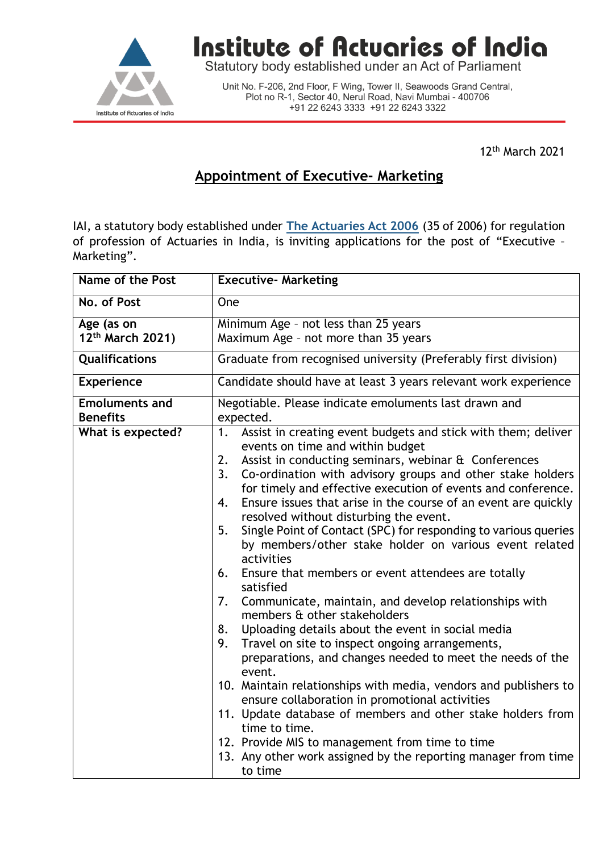

## Institute of Actuaries of India

Statutory body established under an Act of Parliament

Unit No. F-206, 2nd Floor, F Wing, Tower II, Seawoods Grand Central, Plot no R-1, Sector 40, Nerul Road, Navi Mumbai - 400706 +91 22 6243 3333 +91 22 6243 3322

12th March 2021

## **Appointment of Executive- Marketing**

IAI, a statutory body established under **[The Actuaries Act 2006](http://www.actuariesindia.org/guidance/scanned%20GN.pdf)** (35 of 2006) for regulation of profession of Actuaries in India, is inviting applications for the post of "Executive – Marketing".

| Name of the Post                           | <b>Executive- Marketing</b>                                                                                                                                                                                                                                                                                                                                                                                                                                                                                                                                                                                                                                                                                                                                                                                                                                                                                                                                                                                                                                                                                                                                                                                                                                                           |
|--------------------------------------------|---------------------------------------------------------------------------------------------------------------------------------------------------------------------------------------------------------------------------------------------------------------------------------------------------------------------------------------------------------------------------------------------------------------------------------------------------------------------------------------------------------------------------------------------------------------------------------------------------------------------------------------------------------------------------------------------------------------------------------------------------------------------------------------------------------------------------------------------------------------------------------------------------------------------------------------------------------------------------------------------------------------------------------------------------------------------------------------------------------------------------------------------------------------------------------------------------------------------------------------------------------------------------------------|
| No. of Post                                | One                                                                                                                                                                                                                                                                                                                                                                                                                                                                                                                                                                                                                                                                                                                                                                                                                                                                                                                                                                                                                                                                                                                                                                                                                                                                                   |
| Age (as on<br>12 <sup>th</sup> March 2021) | Minimum Age - not less than 25 years<br>Maximum Age - not more than 35 years                                                                                                                                                                                                                                                                                                                                                                                                                                                                                                                                                                                                                                                                                                                                                                                                                                                                                                                                                                                                                                                                                                                                                                                                          |
| Qualifications                             | Graduate from recognised university (Preferably first division)                                                                                                                                                                                                                                                                                                                                                                                                                                                                                                                                                                                                                                                                                                                                                                                                                                                                                                                                                                                                                                                                                                                                                                                                                       |
| <b>Experience</b>                          | Candidate should have at least 3 years relevant work experience                                                                                                                                                                                                                                                                                                                                                                                                                                                                                                                                                                                                                                                                                                                                                                                                                                                                                                                                                                                                                                                                                                                                                                                                                       |
| <b>Emoluments and</b><br><b>Benefits</b>   | Negotiable. Please indicate emoluments last drawn and<br>expected.                                                                                                                                                                                                                                                                                                                                                                                                                                                                                                                                                                                                                                                                                                                                                                                                                                                                                                                                                                                                                                                                                                                                                                                                                    |
| What is expected?                          | Assist in creating event budgets and stick with them; deliver<br>1.<br>events on time and within budget<br>Assist in conducting seminars, webinar & Conferences<br>2.<br>Co-ordination with advisory groups and other stake holders<br>3.<br>for timely and effective execution of events and conference.<br>4.<br>Ensure issues that arise in the course of an event are quickly<br>resolved without disturbing the event.<br>Single Point of Contact (SPC) for responding to various queries<br>5.<br>by members/other stake holder on various event related<br>activities<br>Ensure that members or event attendees are totally<br>6.<br>satisfied<br>Communicate, maintain, and develop relationships with<br>7.<br>members & other stakeholders<br>Uploading details about the event in social media<br>8.<br>9.<br>Travel on site to inspect ongoing arrangements,<br>preparations, and changes needed to meet the needs of the<br>event.<br>10. Maintain relationships with media, vendors and publishers to<br>ensure collaboration in promotional activities<br>11. Update database of members and other stake holders from<br>time to time.<br>12. Provide MIS to management from time to time<br>13. Any other work assigned by the reporting manager from time<br>to time |